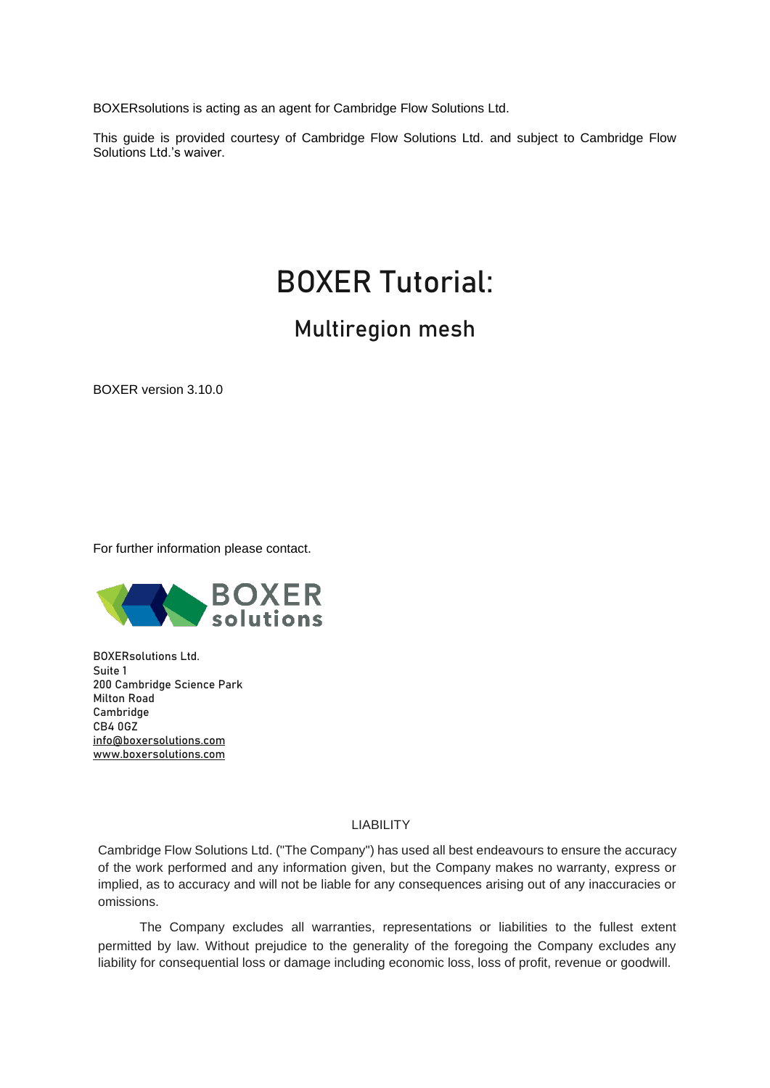BOXERsolutions is acting as an agent for Cambridge Flow Solutions Ltd.

This guide is provided courtesy of Cambridge Flow Solutions Ltd. and subject to Cambridge Flow Solutions Ltd.'s waiver.

# BOXER Tutorial:

## Multiregion mesh

BOXER version 3.10.0

For further information please contact.



BOXERsolutions Ltd. Suite 1 200 Cambridge Science Park Milton Road Cambridge CB4 0GZ [info@boxersolutions.com](mailto:info@boxersolutions.com) [www.boxersolutions.com](http://www.boxersolutions.com/)

#### LIABILITY

Cambridge Flow Solutions Ltd. ("The Company") has used all best endeavours to ensure the accuracy of the work performed and any information given, but the Company makes no warranty, express or implied, as to accuracy and will not be liable for any consequences arising out of any inaccuracies or omissions.

The Company excludes all warranties, representations or liabilities to the fullest extent permitted by law. Without prejudice to the generality of the foregoing the Company excludes any liability for consequential loss or damage including economic loss, loss of profit, revenue or goodwill.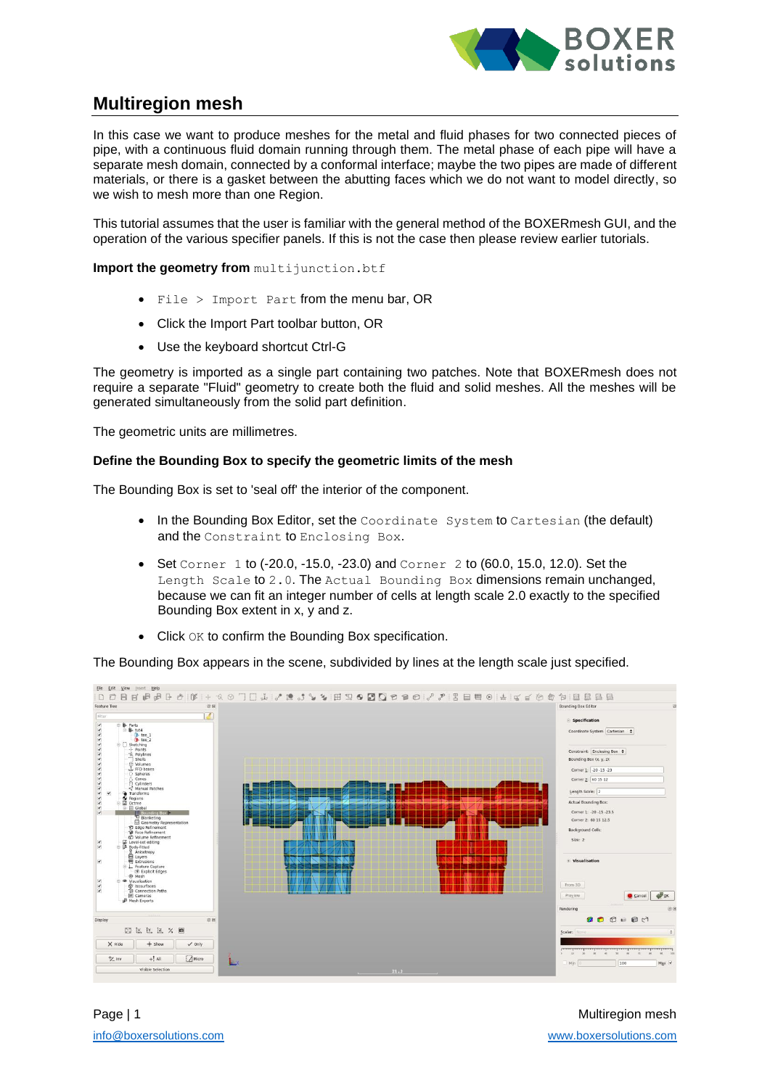

### **Multiregion mesh**

In this case we want to produce meshes for the metal and fluid phases for two connected pieces of pipe, with a continuous fluid domain running through them. The metal phase of each pipe will have a separate mesh domain, connected by a conformal interface; maybe the two pipes are made of different materials, or there is a gasket between the abutting faces which we do not want to model directly, so we wish to mesh more than one Region.

This tutorial assumes that the user is familiar with the general method of the BOXERmesh GUI, and the operation of the various specifier panels. If this is not the case then please review earlier tutorials.

**Import the geometry from** multijunction.btf

- File > Import Part from the menu bar, OR
- Click the Import Part toolbar button, OR
- Use the keyboard shortcut Ctrl-G

The geometry is imported as a single part containing two patches. Note that BOXERmesh does not require a separate "Fluid" geometry to create both the fluid and solid meshes. All the meshes will be generated simultaneously from the solid part definition.

The geometric units are millimetres.

#### **Define the Bounding Box to specify the geometric limits of the mesh**

The Bounding Box is set to 'seal off' the interior of the component.

- In the Bounding Box Editor, set the Coordinate System to Cartesian (the default) and the Constraint to Enclosing Box.
- Set Corner 1 to (-20.0, -15.0, -23.0) and Corner 2 to (60.0, 15.0, 12.0). Set the Length Scale to  $2.0$ . The Actual Bounding Box dimensions remain unchanged, because we can fit an integer number of cells at length scale 2.0 exactly to the specified Bounding Box extent in x, y and z.
- Click OK to confirm the Bounding Box specification.

The Bounding Box appears in the scene, subdivided by lines at the length scale just specified.



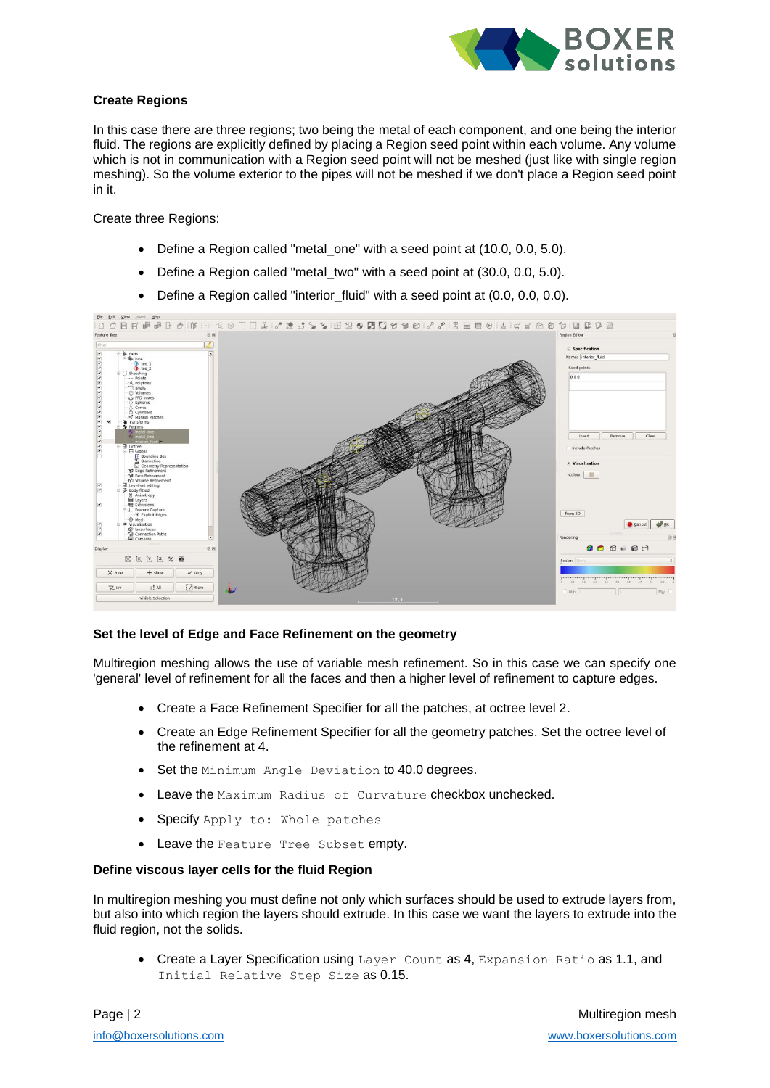

#### **Create Regions**

In this case there are three regions; two being the metal of each component, and one being the interior fluid. The regions are explicitly defined by placing a Region seed point within each volume. Any volume which is not in communication with a Region seed point will not be meshed (just like with single region meshing). So the volume exterior to the pipes will not be meshed if we don't place a Region seed point in it.

Create three Regions:

- Define a Region called "metal\_one" with a seed point at (10.0, 0.0, 5.0).
- Define a Region called "metal\_two" with a seed point at (30.0, 0.0, 5.0).
- Define a Region called "interior\_fluid" with a seed point at (0.0, 0.0, 0.0).



#### **Set the level of Edge and Face Refinement on the geometry**

Multiregion meshing allows the use of variable mesh refinement. So in this case we can specify one 'general' level of refinement for all the faces and then a higher level of refinement to capture edges.

- Create a Face Refinement Specifier for all the patches, at octree level 2.
- Create an Edge Refinement Specifier for all the geometry patches. Set the octree level of the refinement at 4.
- Set the Minimum Angle Deviation to 40.0 degrees.
- Leave the Maximum Radius of Curvature checkbox unchecked.
- Specify Apply to: Whole patches
- Leave the Feature Tree Subset empty.

#### **Define viscous layer cells for the fluid Region**

In multiregion meshing you must define not only which surfaces should be used to extrude layers from, but also into which region the layers should extrude. In this case we want the layers to extrude into the fluid region, not the solids.

• Create a Layer Specification using Layer Count as 4, Expansion Ratio as 1.1, and Initial Relative Step Size as 0.15.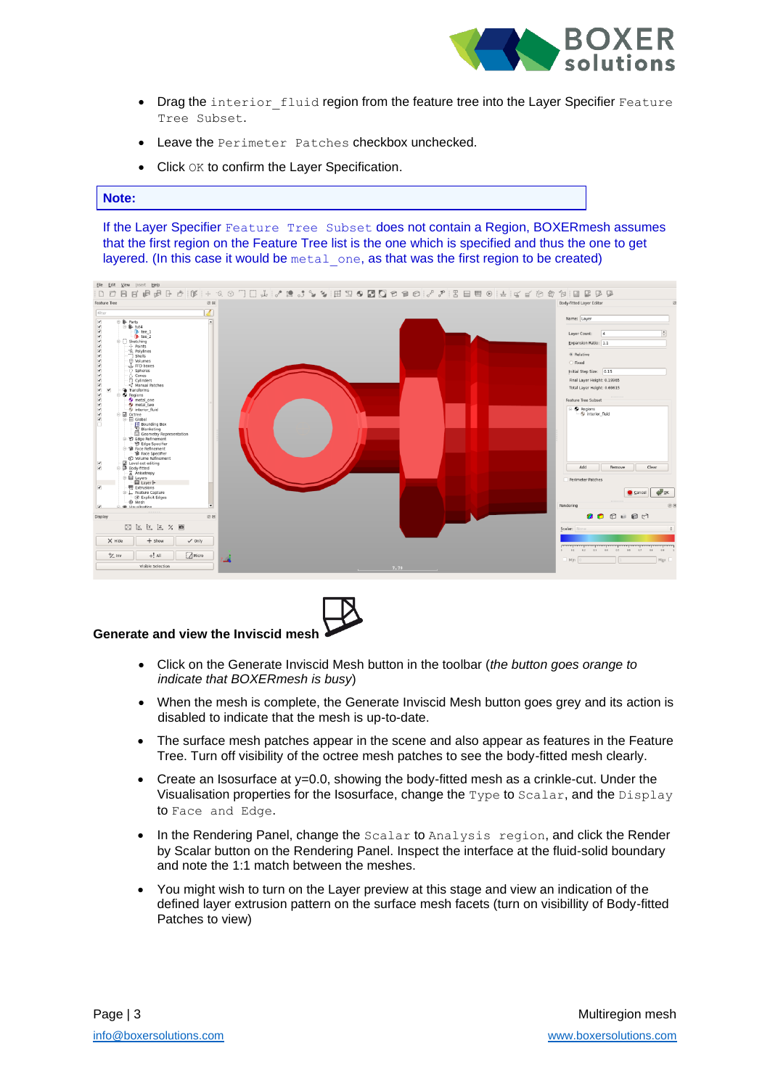

- Drag the interior fluid region from the feature tree into the Layer Specifier Feature Tree Subset.
- Leave the Perimeter Patches checkbox unchecked.
- Click OK to confirm the Layer Specification.

#### **Note:**

If the Layer Specifier Feature Tree Subset does not contain a Region, BOXERmesh assumes that the first region on the Feature Tree list is the one which is specified and thus the one to get layered. (In this case it would be metal one, as that was the first region to be created)



#### **Generate and view the Inviscid mesh**

- Click on the Generate Inviscid Mesh button in the toolbar (*the button goes orange to indicate that BOXERmesh is busy*)
- When the mesh is complete, the Generate Inviscid Mesh button goes grey and its action is disabled to indicate that the mesh is up-to-date.
- The surface mesh patches appear in the scene and also appear as features in the Feature Tree. Turn off visibility of the octree mesh patches to see the body-fitted mesh clearly.
- Create an Isosurface at  $y=0.0$ , showing the body-fitted mesh as a crinkle-cut. Under the Visualisation properties for the Isosurface, change the Type to Scalar, and the Display to Face and Edge.
- In the Rendering Panel, change the Scalar to Analysis region, and click the Render by Scalar button on the Rendering Panel. Inspect the interface at the fluid-solid boundary and note the 1:1 match between the meshes.
- You might wish to turn on the Layer preview at this stage and view an indication of the defined layer extrusion pattern on the surface mesh facets (turn on visibillity of Body-fitted Patches to view)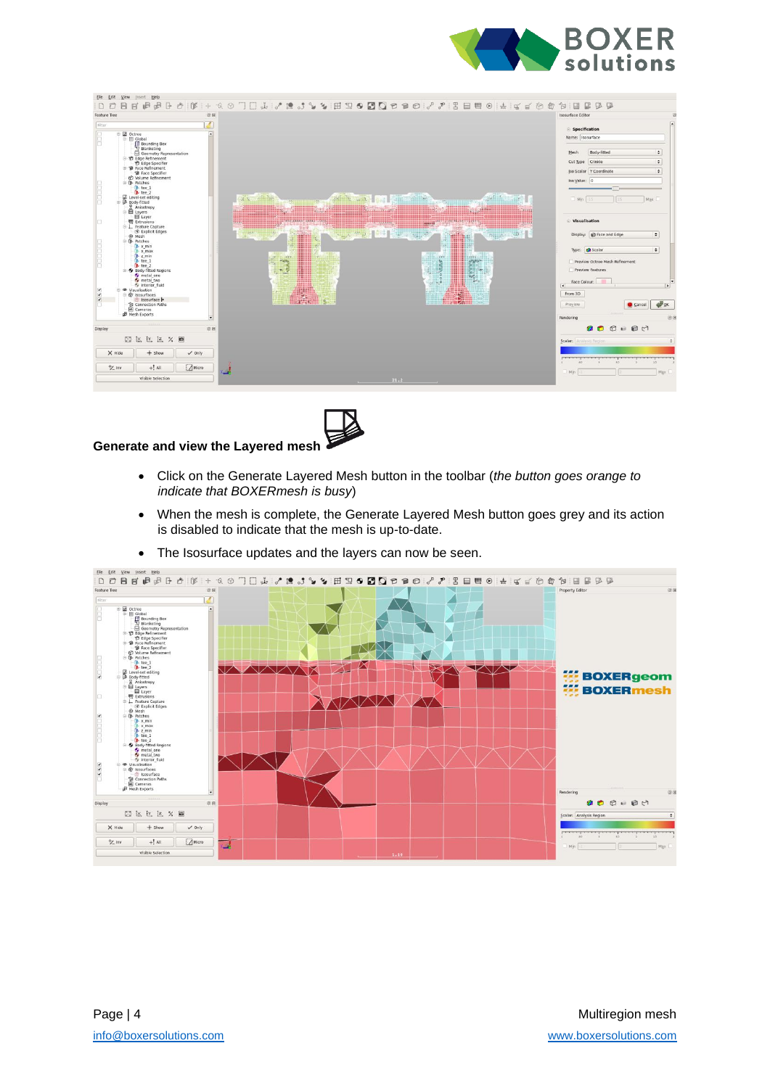



#### **Generate and view the Layered mesh**



- Click on the Generate Layered Mesh button in the toolbar (*the button goes orange to indicate that BOXERmesh is busy*)
- When the mesh is complete, the Generate Layered Mesh button goes grey and its action is disabled to indicate that the mesh is up-to-date.



• The Isosurface updates and the layers can now be seen.